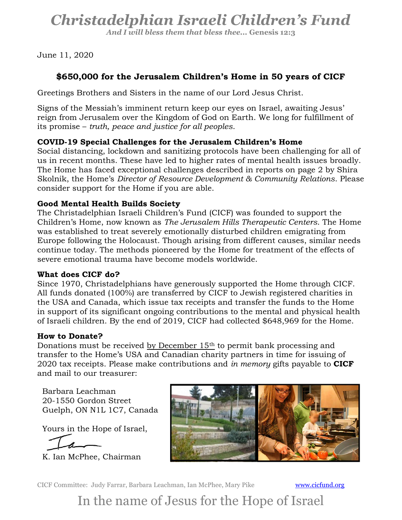# Christadelphian Israeli Children's Fund

And I will bless them that bless thee... Genesis 12:3

June 11, 2020

## \$650,000 for the Jerusalem Children's Home in 50 years of CICF

Greetings Brothers and Sisters in the name of our Lord Jesus Christ.

Signs of the Messiah's imminent return keep our eyes on Israel, awaiting Jesus' reign from Jerusalem over the Kingdom of God on Earth. We long for fulfillment of its promise – truth, peace and justice for all peoples.

### COVID-19 Special Challenges for the Jerusalem Children's Home

Social distancing, lockdown and sanitizing protocols have been challenging for all of us in recent months. These have led to higher rates of mental health issues broadly. The Home has faced exceptional challenges described in reports on page 2 by Shira Skolnik, the Home's Director of Resource Development & Community Relations. Please consider support for the Home if you are able.

#### Good Mental Health Builds Society

The Christadelphian Israeli Children's Fund (CICF) was founded to support the Children's Home, now known as The Jerusalem Hills Therapeutic Centers. The Home was established to treat severely emotionally disturbed children emigrating from Europe following the Holocaust. Though arising from different causes, similar needs continue today. The methods pioneered by the Home for treatment of the effects of severe emotional trauma have become models worldwide.

#### What does CICF do?

Since 1970, Christadelphians have generously supported the Home through CICF. All funds donated (100%) are transferred by CICF to Jewish registered charities in the USA and Canada, which issue tax receipts and transfer the funds to the Home in support of its significant ongoing contributions to the mental and physical health of Israeli children. By the end of 2019, CICF had collected \$648,969 for the Home.

#### How to Donate?

Donations must be received by December 15<sup>th</sup> to permit bank processing and transfer to the Home's USA and Canadian charity partners in time for issuing of 2020 tax receipts. Please make contributions and in memory gifts payable to CICF and mail to our treasurer:

Barbara Leachman 20-1550 Gordon Street Guelph, ON N1L 1C7, Canada

Yours in the Hope of Israel,

K. Ian McPhee, Chairman



CICF Committee: Judy Farrar, Barbara Leachman, Ian McPhee, Mary Pike www.cicfund.org

In the name of Jesus for the Hope of Israel